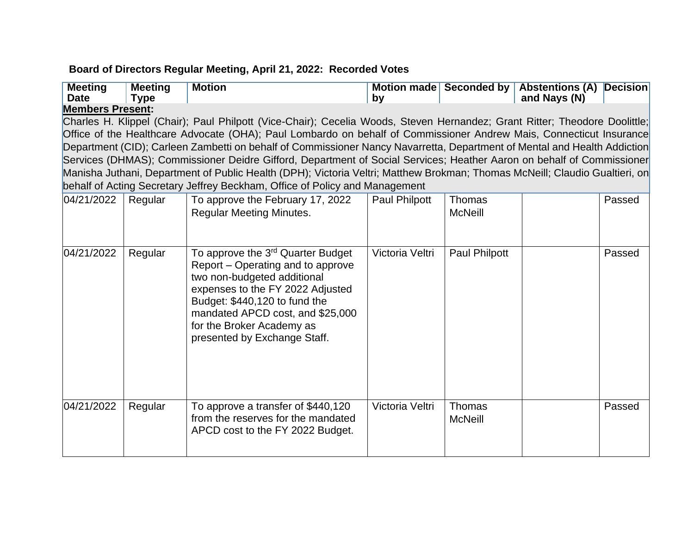## **Board of Directors Regular Meeting, April 21, 2022: Recorded Votes**

| <b>Meeting</b><br><b>Date</b>                                                                                              | <b>Meeting</b><br><b>Type</b> | <b>Motion</b>                                                                                                                                                                                                                                                                           | by              |                                 | Motion made Seconded by Abstentions (A) Decision<br>and Nays (N) |        |  |  |
|----------------------------------------------------------------------------------------------------------------------------|-------------------------------|-----------------------------------------------------------------------------------------------------------------------------------------------------------------------------------------------------------------------------------------------------------------------------------------|-----------------|---------------------------------|------------------------------------------------------------------|--------|--|--|
| <b>Members Present:</b>                                                                                                    |                               |                                                                                                                                                                                                                                                                                         |                 |                                 |                                                                  |        |  |  |
| Charles H. Klippel (Chair); Paul Philpott (Vice-Chair); Cecelia Woods, Steven Hernandez; Grant Ritter; Theodore Doolittle; |                               |                                                                                                                                                                                                                                                                                         |                 |                                 |                                                                  |        |  |  |
| Office of the Healthcare Advocate (OHA); Paul Lombardo on behalf of Commissioner Andrew Mais, Connecticut Insurance        |                               |                                                                                                                                                                                                                                                                                         |                 |                                 |                                                                  |        |  |  |
|                                                                                                                            |                               | Department (CID); Carleen Zambetti on behalf of Commissioner Nancy Navarretta, Department of Mental and Health Addiction                                                                                                                                                                |                 |                                 |                                                                  |        |  |  |
|                                                                                                                            |                               | Services (DHMAS); Commissioner Deidre Gifford, Department of Social Services; Heather Aaron on behalf of Commissioner                                                                                                                                                                   |                 |                                 |                                                                  |        |  |  |
|                                                                                                                            |                               | Manisha Juthani, Department of Public Health (DPH); Victoria Veltri; Matthew Brokman; Thomas McNeill; Claudio Gualtieri, on                                                                                                                                                             |                 |                                 |                                                                  |        |  |  |
|                                                                                                                            |                               | behalf of Acting Secretary Jeffrey Beckham, Office of Policy and Management                                                                                                                                                                                                             |                 |                                 |                                                                  |        |  |  |
| 04/21/2022                                                                                                                 | Regular                       | To approve the February 17, 2022<br><b>Regular Meeting Minutes.</b>                                                                                                                                                                                                                     | Paul Philpott   | <b>Thomas</b><br><b>McNeill</b> |                                                                  | Passed |  |  |
| 04/21/2022                                                                                                                 | Regular                       | To approve the 3 <sup>rd</sup> Quarter Budget<br>Report – Operating and to approve<br>two non-budgeted additional<br>expenses to the FY 2022 Adjusted<br>Budget: \$440,120 to fund the<br>mandated APCD cost, and \$25,000<br>for the Broker Academy as<br>presented by Exchange Staff. | Victoria Veltri | Paul Philpott                   |                                                                  | Passed |  |  |
| 04/21/2022                                                                                                                 | Regular                       | To approve a transfer of \$440,120<br>from the reserves for the mandated<br>APCD cost to the FY 2022 Budget.                                                                                                                                                                            | Victoria Veltri | <b>Thomas</b><br><b>McNeill</b> |                                                                  | Passed |  |  |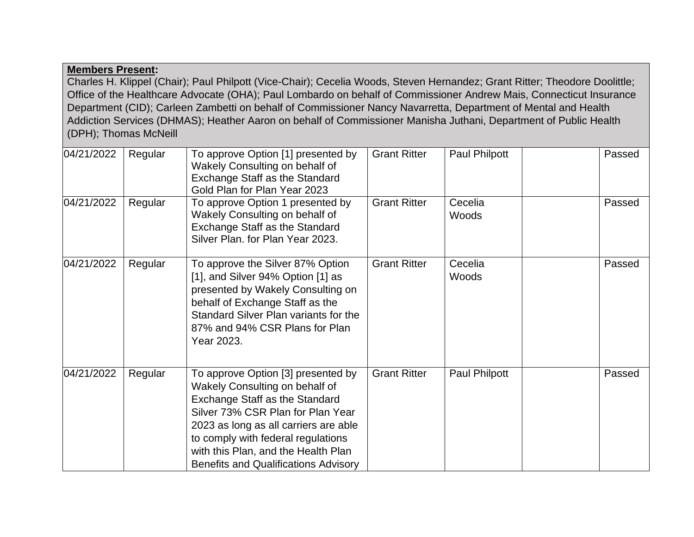## **Members Present:**

Charles H. Klippel (Chair); Paul Philpott (Vice-Chair); Cecelia Woods, Steven Hernandez; Grant Ritter; Theodore Doolittle; Office of the Healthcare Advocate (OHA); Paul Lombardo on behalf of Commissioner Andrew Mais, Connecticut Insurance Department (CID); Carleen Zambetti on behalf of Commissioner Nancy Navarretta, Department of Mental and Health Addiction Services (DHMAS); Heather Aaron on behalf of Commissioner Manisha Juthani, Department of Public Health (DPH); Thomas McNeill

| 04/21/2022 | Regular | To approve Option [1] presented by<br>Wakely Consulting on behalf of<br>Exchange Staff as the Standard<br>Gold Plan for Plan Year 2023                                                                                                                                                                                  | <b>Grant Ritter</b> | Paul Philpott    | Passed |
|------------|---------|-------------------------------------------------------------------------------------------------------------------------------------------------------------------------------------------------------------------------------------------------------------------------------------------------------------------------|---------------------|------------------|--------|
| 04/21/2022 | Regular | To approve Option 1 presented by<br>Wakely Consulting on behalf of<br>Exchange Staff as the Standard<br>Silver Plan. for Plan Year 2023.                                                                                                                                                                                | <b>Grant Ritter</b> | Cecelia<br>Woods | Passed |
| 04/21/2022 | Regular | To approve the Silver 87% Option<br>[1], and Silver 94% Option [1] as<br>presented by Wakely Consulting on<br>behalf of Exchange Staff as the<br>Standard Silver Plan variants for the<br>87% and 94% CSR Plans for Plan<br>Year 2023.                                                                                  | <b>Grant Ritter</b> | Cecelia<br>Woods | Passed |
| 04/21/2022 | Regular | To approve Option [3] presented by<br>Wakely Consulting on behalf of<br><b>Exchange Staff as the Standard</b><br>Silver 73% CSR Plan for Plan Year<br>2023 as long as all carriers are able<br>to comply with federal regulations<br>with this Plan, and the Health Plan<br><b>Benefits and Qualifications Advisory</b> | <b>Grant Ritter</b> | Paul Philpott    | Passed |